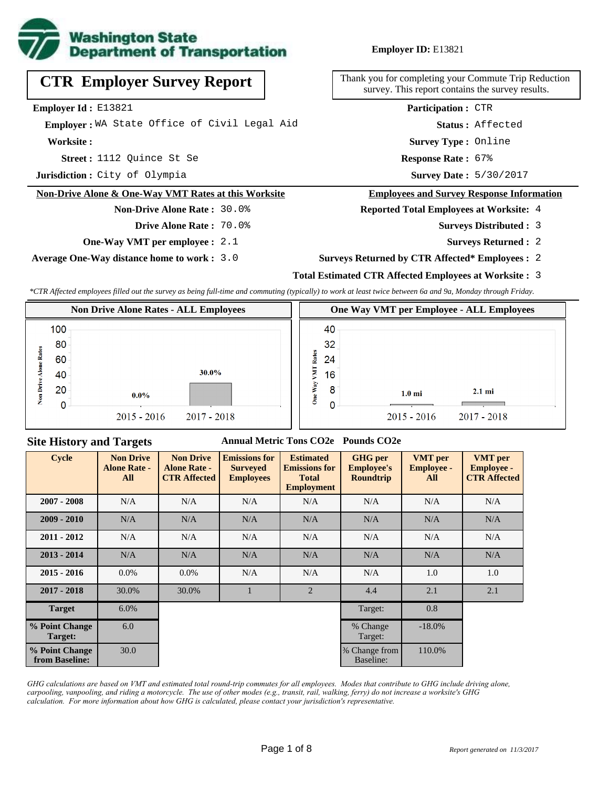

# **CTR Employer Survey Report**

**Employer Id :** E13821

 **Employer :** WA State Office of Civil Legal Aid

**Worksite :**

1112 Quince St Se **Response Rate : Street :**

**Jurisdiction :** City of Olympia

#### **Non-Drive Alone & One-Way VMT Rates at this Worksite**

**Non-Drive Alone Rate :** 30.0% **Drive Alone Rate :** 70.0%

**One-Way VMT per employee :** 2.1

**Average One-Way distance home to work :** 3.0

#### **Employer ID:** E13821

Thank you for completing your Commute Trip Reduction survey. This report contains the survey results.

> **Status :** Affected **Participation :** CTR

**Survey Type :** Online

Response Rate: 67%

Survey Date: 5/30/2017

#### **Employees and Survey Response Information**

**Reported Total Employees at Worksite:** 4

- 3 **Surveys Distributed :**
	- **Surveys Returned :** 2

#### **Surveys Returned by CTR Affected\* Employees :** 2

#### **Total Estimated CTR Affected Employees at Worksite :** 3

*\*CTR Affected employees filled out the survey as being full-time and commuting (typically) to work at least twice between 6a and 9a, Monday through Friday.*

|       |           | <b>Non Drive Alone Rates - ALL Employees</b> | One Way VMT per Employee - ALL Employees |                                      |  |  |  |
|-------|-----------|----------------------------------------------|------------------------------------------|--------------------------------------|--|--|--|
|       | 100<br>80 |                                              | 40<br>32                                 |                                      |  |  |  |
| Rafes | 60        |                                              | Rates<br>24                              |                                      |  |  |  |
|       | 40<br>20  | 30.0%<br>$0.0\%$                             | Σ<br>16<br>8<br>≋                        | $2.1 \text{ mi}$<br>$1.0 \text{ mi}$ |  |  |  |
| ź.    | Ω         | $2015 - 2016$<br>$2017 - 2018$               | å<br>0                                   | $2015 - 2016$<br>2017 - 2018         |  |  |  |

### **Site History and Targets**

#### **Annual Metric Tons CO2e Pounds CO2e**

| <b>Cycle</b>                     | <b>Non Drive</b><br><b>Alone Rate -</b><br>All | <b>Non Drive</b><br><b>Alone Rate -</b><br><b>CTR Affected</b> | <b>Emissions for</b><br><b>Surveyed</b><br><b>Employees</b> | <b>Estimated</b><br><b>Emissions for</b><br><b>Total</b><br><b>Employment</b> | <b>GHG</b> per<br><b>Employee's</b><br><b>Roundtrip</b> | <b>VMT</b> per<br><b>Employee -</b><br>All | <b>VMT</b> per<br><b>Employee -</b><br><b>CTR Affected</b> |
|----------------------------------|------------------------------------------------|----------------------------------------------------------------|-------------------------------------------------------------|-------------------------------------------------------------------------------|---------------------------------------------------------|--------------------------------------------|------------------------------------------------------------|
| $2007 - 2008$                    | N/A                                            | N/A                                                            | N/A                                                         | N/A                                                                           | N/A                                                     | N/A                                        | N/A                                                        |
| $2009 - 2010$                    | N/A                                            | N/A                                                            | N/A                                                         | N/A                                                                           | N/A                                                     | N/A                                        | N/A                                                        |
| $2011 - 2012$                    | N/A                                            | N/A                                                            | N/A                                                         | N/A                                                                           | N/A                                                     | N/A                                        | N/A                                                        |
| $2013 - 2014$                    | N/A                                            | N/A                                                            | N/A                                                         | N/A                                                                           | N/A                                                     | N/A                                        | N/A                                                        |
| $2015 - 2016$                    | $0.0\%$                                        | $0.0\%$                                                        | N/A                                                         | N/A                                                                           | N/A                                                     | 1.0                                        | 1.0                                                        |
| $2017 - 2018$                    | 30.0%                                          | 30.0%                                                          |                                                             | 2                                                                             | 4.4                                                     | 2.1                                        | 2.1                                                        |
| <b>Target</b>                    | 6.0%                                           |                                                                |                                                             |                                                                               | Target:                                                 | 0.8                                        |                                                            |
| % Point Change<br>Target:        | 6.0                                            |                                                                |                                                             |                                                                               | % Change<br>Target:                                     | $-18.0\%$                                  |                                                            |
| % Point Change<br>from Baseline: | 30.0                                           |                                                                |                                                             |                                                                               | % Change from<br>Baseline:                              | 110.0%                                     |                                                            |

*GHG calculations are based on VMT and estimated total round-trip commutes for all employees. Modes that contribute to GHG include driving alone, carpooling, vanpooling, and riding a motorcycle. The use of other modes (e.g., transit, rail, walking, ferry) do not increase a worksite's GHG calculation. For more information about how GHG is calculated, please contact your jurisdiction's representative.*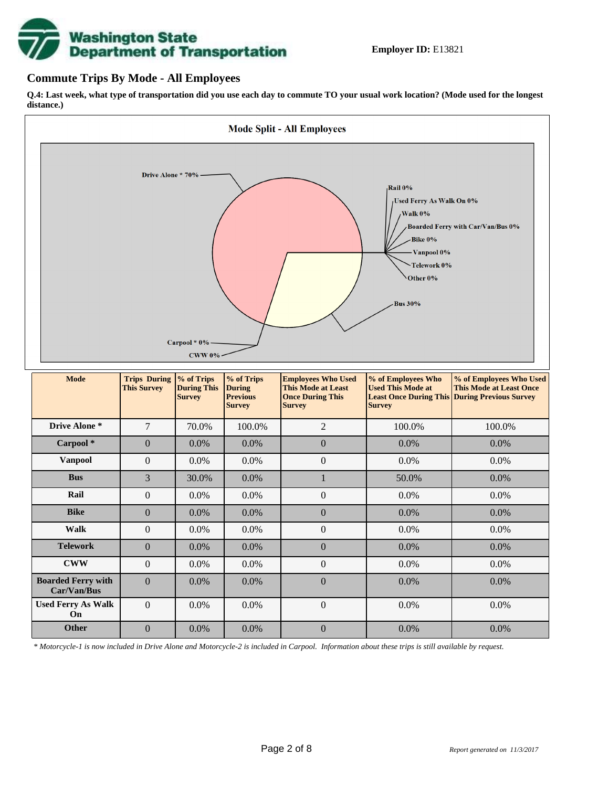

### **Commute Trips By Mode - All Employees**

**Q.4: Last week, what type of transportation did you use each day to commute TO your usual work location? (Mode used for the longest distance.)**



*\* Motorcycle-1 is now included in Drive Alone and Motorcycle-2 is included in Carpool. Information about these trips is still available by request.*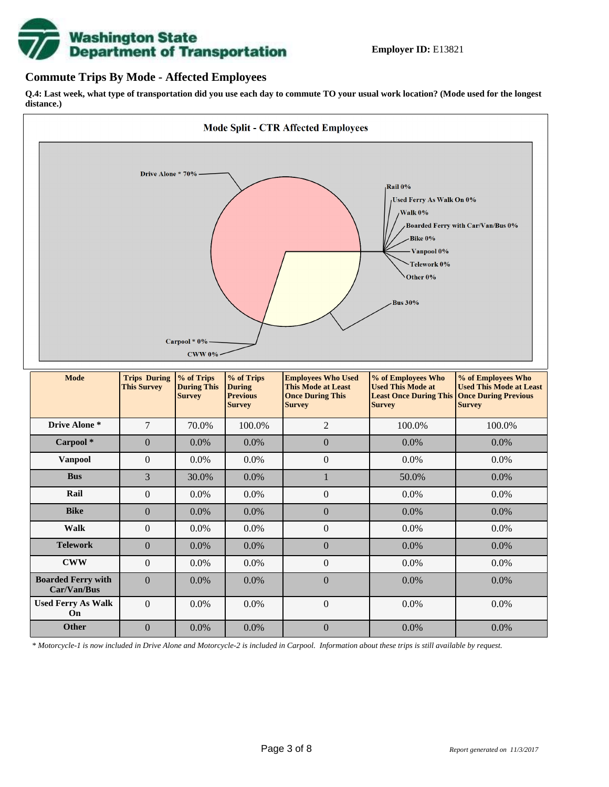

### **Commute Trips By Mode - Affected Employees**

**Q.4: Last week, what type of transportation did you use each day to commute TO your usual work location? (Mode used for the longest distance.)**



*\* Motorcycle-1 is now included in Drive Alone and Motorcycle-2 is included in Carpool. Information about these trips is still available by request.*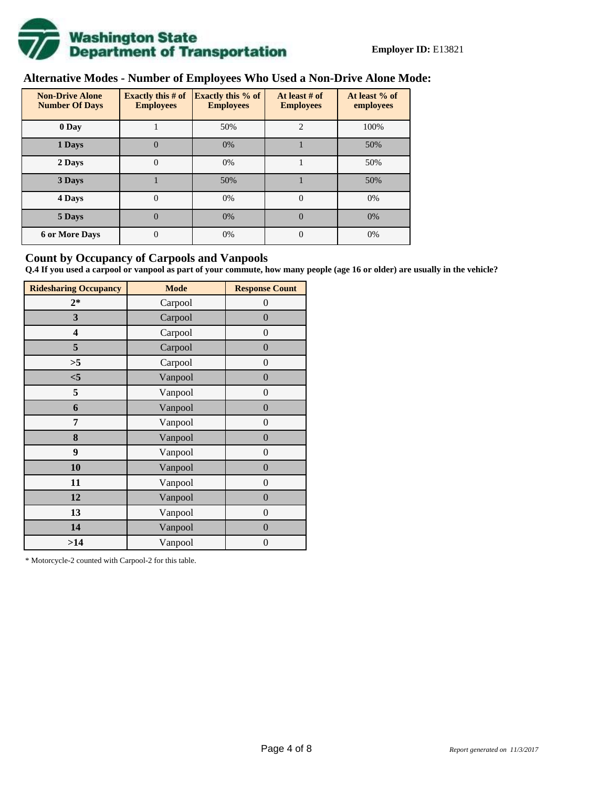

# **Alternative Modes - Number of Employees Who Used a Non-Drive Alone Mode:**

| <b>Non-Drive Alone</b><br><b>Number Of Days</b> | Exactly this $# of$<br><b>Employees</b> | <b>Exactly this % of</b><br><b>Employees</b> | At least # of<br><b>Employees</b> | At least % of<br>employees |  |  |
|-------------------------------------------------|-----------------------------------------|----------------------------------------------|-----------------------------------|----------------------------|--|--|
| 0 Day                                           |                                         | 50%                                          | $\overline{c}$                    | 100%                       |  |  |
| 1 Days                                          | 0                                       | 0%                                           |                                   | 50%                        |  |  |
| 2 Days                                          | 0                                       | 0%                                           |                                   | 50%                        |  |  |
| 3 Days                                          |                                         | 50%                                          |                                   | 50%                        |  |  |
| 4 Days                                          | $\theta$                                | 0%                                           | $\Omega$                          | 0%                         |  |  |
| 5 Days                                          | $\overline{0}$                          | 0%                                           | $\theta$                          | 0%                         |  |  |
| <b>6 or More Days</b>                           | $\theta$                                | 0%                                           | $\Omega$                          | 0%                         |  |  |

### **Count by Occupancy of Carpools and Vanpools**

**Q.4 If you used a carpool or vanpool as part of your commute, how many people (age 16 or older) are usually in the vehicle?**

| <b>Ridesharing Occupancy</b> | <b>Mode</b> | <b>Response Count</b> |
|------------------------------|-------------|-----------------------|
| $2*$                         | Carpool     | $\theta$              |
| 3                            | Carpool     | $\overline{0}$        |
| 4                            | Carpool     | $\boldsymbol{0}$      |
| 5                            | Carpool     | $\overline{0}$        |
| >5                           | Carpool     | $\boldsymbol{0}$      |
| $<$ 5                        | Vanpool     | $\overline{0}$        |
| 5                            | Vanpool     | $\overline{0}$        |
| 6                            | Vanpool     | $\boldsymbol{0}$      |
| 7                            | Vanpool     | $\boldsymbol{0}$      |
| 8                            | Vanpool     | $\overline{0}$        |
| 9                            | Vanpool     | $\overline{0}$        |
| 10                           | Vanpool     | $\overline{0}$        |
| 11                           | Vanpool     | $\boldsymbol{0}$      |
| 12                           | Vanpool     | $\boldsymbol{0}$      |
| 13                           | Vanpool     | $\boldsymbol{0}$      |
| 14                           | Vanpool     | $\overline{0}$        |
| >14                          | Vanpool     | $\boldsymbol{0}$      |

\* Motorcycle-2 counted with Carpool-2 for this table.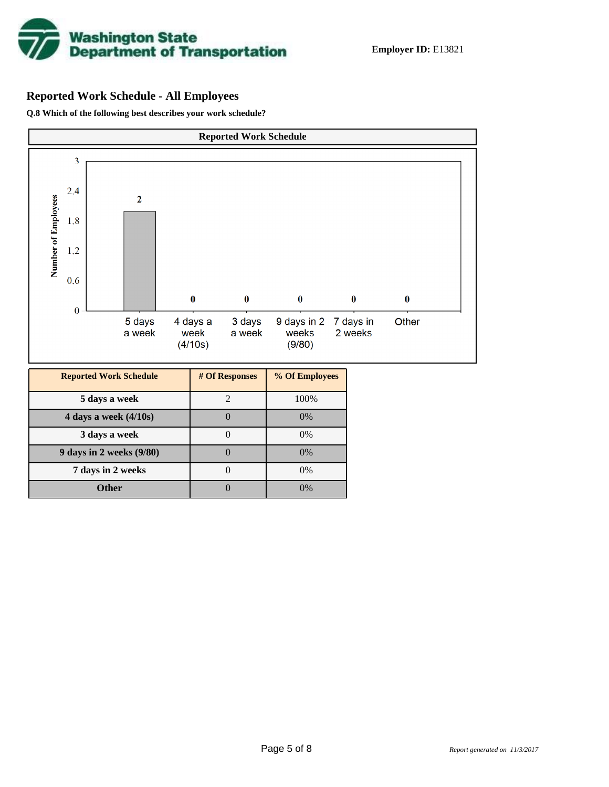

# **Reported Work Schedule - All Employees**

**Q.8 Which of the following best describes your work schedule?**

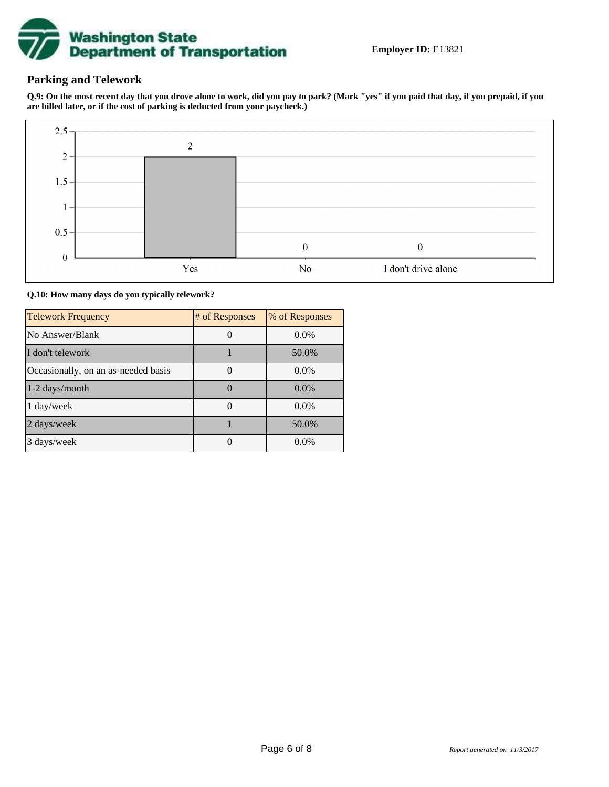

## **Parking and Telework**

**Q.9: On the most recent day that you drove alone to work, did you pay to park? (Mark "yes" if you paid that day, if you prepaid, if you are billed later, or if the cost of parking is deducted from your paycheck.)**



**Q.10: How many days do you typically telework?**

| <b>Telework Frequency</b>           | # of Responses | % of Responses |
|-------------------------------------|----------------|----------------|
| No Answer/Blank                     |                | $0.0\%$        |
| I don't telework                    |                | 50.0%          |
| Occasionally, on an as-needed basis |                | $0.0\%$        |
| 1-2 days/month                      |                | $0.0\%$        |
| 1 day/week                          |                | $0.0\%$        |
| 2 days/week                         |                | 50.0%          |
| 3 days/week                         |                | $0.0\%$        |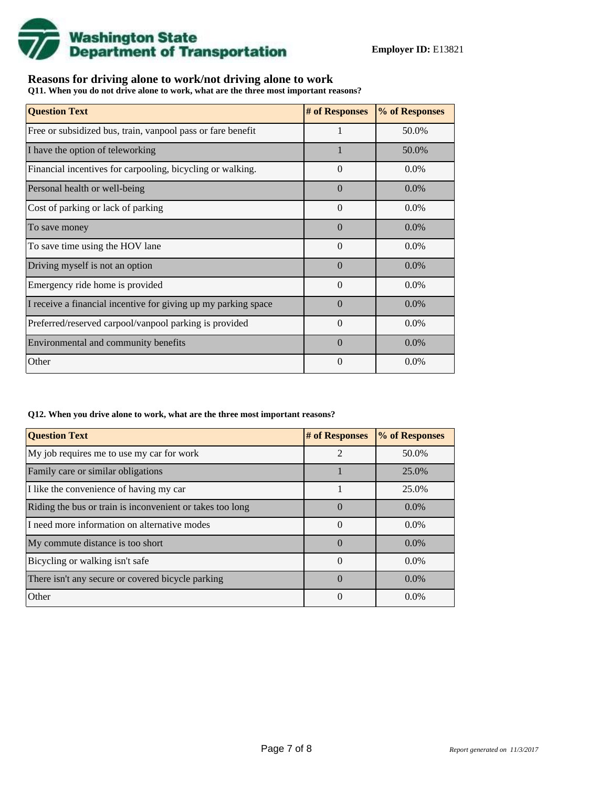

# **Reasons for driving alone to work/not driving alone to work**

**Q11. When you do not drive alone to work, what are the three most important reasons?**

| <b>Question Text</b>                                           | # of Responses | % of Responses |
|----------------------------------------------------------------|----------------|----------------|
| Free or subsidized bus, train, vanpool pass or fare benefit    |                | 50.0%          |
| I have the option of teleworking                               |                | 50.0%          |
| Financial incentives for carpooling, bicycling or walking.     | $\Omega$       | $0.0\%$        |
| Personal health or well-being                                  | $\Omega$       | $0.0\%$        |
| Cost of parking or lack of parking                             | $\Omega$       | $0.0\%$        |
| To save money                                                  | $\Omega$       | $0.0\%$        |
| To save time using the HOV lane                                | $\theta$       | $0.0\%$        |
| Driving myself is not an option                                | $\theta$       | $0.0\%$        |
| Emergency ride home is provided                                | $\Omega$       | $0.0\%$        |
| I receive a financial incentive for giving up my parking space | $\Omega$       | $0.0\%$        |
| Preferred/reserved carpool/vanpool parking is provided         | $\theta$       | $0.0\%$        |
| Environmental and community benefits                           | $\Omega$       | $0.0\%$        |
| Other                                                          | $\theta$       | 0.0%           |

#### **Q12. When you drive alone to work, what are the three most important reasons?**

| <b>Question Text</b>                                      | # of Responses | % of Responses |
|-----------------------------------------------------------|----------------|----------------|
| My job requires me to use my car for work                 | $\mathfrak{D}$ | 50.0%          |
| Family care or similar obligations                        |                | 25.0%          |
| I like the convenience of having my car                   |                | 25.0%          |
| Riding the bus or train is inconvenient or takes too long | $\theta$       | $0.0\%$        |
| I need more information on alternative modes              | 0              | $0.0\%$        |
| My commute distance is too short                          | $\Omega$       | $0.0\%$        |
| Bicycling or walking isn't safe                           | $\theta$       | $0.0\%$        |
| There isn't any secure or covered bicycle parking         | $\Omega$       | $0.0\%$        |
| Other                                                     | $\Omega$       | $0.0\%$        |